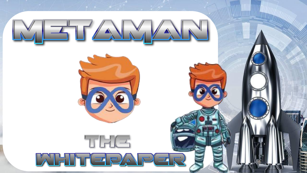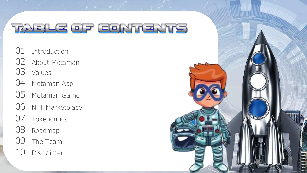- Introduction
- About Metaman
- Values
- Metaman App
- Metaman Game
- 06 NFT Marketplace
- Tokenomics
- Roadmap
- 09 The Team
- Disclaimer

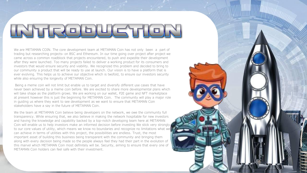We are METAMAN COIN. The core development team at METAMAN Coin has not only been a part of trading but researching projects- on BSC and Ethereum. In our time going over project after project we came across a common roadblock that projects encountered, to push and expedite their development after they were launched. Too many projects failed to deliver a working product for its consumers and investors that would ensure security and viability. We recognized this problem and decided to bring to our community a product that will be ready to use at launch. Our vision is to have a platform that is ever evolving. This helps us to achieve our objective which is twofold, to ensure our investors security while also ensuring the longevity of METAMAN Coin.

Being a meme coin will not limit but enable us to target and diversify different use cases that have never been achieved by a meme coin before. We are excited to share more developmental plans which will take shape as the platform grows. We are working on our wallet, P2E game and NFT marketplace at present however this is just the beginning for METAMAN Coin. The community will play a major role in guiding us where they want to see development as we want to ensure that METAMAN Coin stakeholders have a say in the future of METAMAN Coin.

We the team at METAMAN Coin believe being developers on the network, we owe the community full transparency. While ensuring that, we also believe in making the network hospitable for new investors and having the knowledge and capability backed by a top-notch developing team here at METAMAN Coin will enable us to help investors make an informed decision before investing We stick very strongly to our core values of utility, which means we know no boundaries and recognize no limitations what we can achieve in terms of utilities with this project, the possibilities are endless. Trust, the most important asset of building this business being transparent with the community and bringing them along with every decision being made so the people always feel they had their part in the evolution of this marvel which METAMAN Coin most definitely will be. Security, aiming to ensure that every one of METAMAN Coin holders can feel safe with their investment.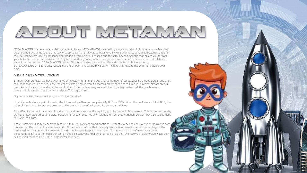## A E OUT MATIZIKAN

METAMANCOIN is a deflationary yield-generating token. METAMANCOIN is creating a non-custodial, fully on-chain, mobile-first decentralized exchange (DEX) that supports up to 5x margin/leverage trading--all with a seamless, centralized-exchange feel for the BSC ecosystem. We will be launching the initial version of our mobile app for both iOS and Android that allows you to track your holdings on the bsc network including tether and peg coins, within the app we have customized are api to track MetaMan value in all currencies. METAMANCOIN has a 10% tax on every transaction. 4% is distributed to holders,1% to BUYBACKANDBURN, 5% is auto locked into the LP pool, increasing rewards for holders and making the coin more stable over time.

#### Auto Liquidity Generation Mechanism

In many Defi projects, we have seen a lot of investors jump in and buy a large number of assets causing a huge uproar and a lot of pumps that we like to see. once the chart starts going up you it becomes pretty hard not to jump in however almost always the token suffers an impending collapse of price. Once the bandwagons are full and the big holders sell the graph sees a downward plunge and the common trader suffers a great loss.

Now what is the reason behind such a big loss to price?

Liquidity pools store a pair of assets, the token and another currency (mostly BNB on BSC). When the pool loses a lot of BNB, the price of the other token shoots down and this leads to loss of value and those scary red lines.

This effect increases in a smaller liquidity pool and decreases as the liquidity pool increases in both tokens. This is the reason why we have integrated an auto liquidity generating function that not only solves the high price variation problem but also strengthens METAMAN's future.

The Automatic Liquidity Generation feature within \$METAMAN's smart contract is recently very popular , yet very innovative core module that the protocol has implemented. It involves a feature that on every transaction causes a certain percentage of the trades value to automatically generate liquidity in PancakeSwap liquidity pools. The mechanism benefits from a specific percentage (6%) is cut on each transaction this disincentivizes "paperhands" to sell as they will receive a lesser value when they sell causing them to hold until a large increase is seen.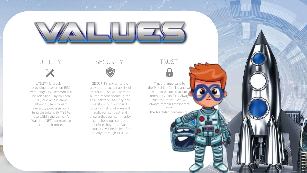# $\Box$

#### UTILITY X

UTILITY is crucial in providing a token on BSC with longevity MetaMan will be releasing Play to Earn (P2E) blockchain game, allowing users to earn rewards, purchase nonfungible tokens (NFTs) to use within the game, A Wallet, a NFT Marketplace and much more.

### **SECURITY**



SECURITY is vital to the growth and sustainability of MetaMan. As we aware of all the recent scams in the BSC network, security and safety is our number 1 priority that is why we will audit our contract and ensure that our community can check our contract before they buy. Our Liquidity will be locked for 365 days through MUDRA.

#### TRUST

 $\bullet$ 

Trust is important to the MetaMan family, and we want to ensure that our community can fully alway! trust the team. We will always remain transparent with the MetaMan communit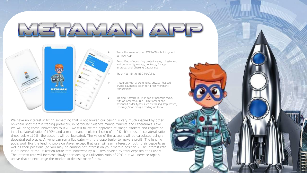

- ➢ Track the value of your \$METAMAN holdings with our new App!
	- Be notified of upcoming project news, milestones, and community events, contests, In-app airdrops, and Charting Capabilities.
- ➢ Track Your Entire BSC Portfolio.
- Integrate with a prominent, privacy-focused crypto payments token for direct merchant transactions.
- ➢ Trading Platform built on top of pancake swap, with an orderbook (i.e., limit orders and advanced order types such as trailing stop-losses) Leverage/spot margin trading up to 5x

We have no interest in fixing something that is not broken our design is very much inspired by other on-chain spot margin trading protocols, in particular Solana's Mango Markets and Ethereum's Aave. We will bring these innovations to BSC. We will follow the approach of Mango Markets and require an initial collateral ratio of 120% and a maintenance collateral ratio of 110%. If the user's collateral ratio drops below 110%, the account will be liquidated. The value of the account will be calculated using a decentralized oracle. Anyone can run a liquidator with the opportunity to make a profit. The lending pools work like the lending pools on Aave, except that user will earn interest on both their deposits as well as their positions (so you may be earning net interest on your margin position!). The interest rate is a function of the utilization ratio: total borrowed by all users divided by total deposits of all users. The interest rate will increase slowly approaching a utilization ratio of 70% but will increase rapidly above that to encourage the market to deposit more funds.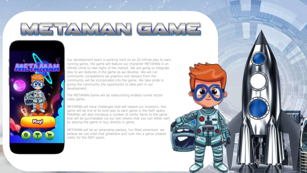Our development team is working hard on an 2d infinite play to earn running game, the game will feature our character METAMAN in an infinite climb to new highs of the market. We are going to integrate play to win features in the game as we develop. We will run community competitions we graphics and designs from the community will be incorporated into the game. We take pride in giving the community the opportunity to take part in our development.

The METAMAN Game will be sidescrolling endless runner action video game.

METAMAN will have challenges that will reward our investors. this game will be one of its kind play to earn game in the DeFi space. MetaMan will also introduce a number of vanity items to the game that will be purchasable via our own tokens that you can either earn by playing the game or buy directly in game.

METAMAN will be an adrenaline packed, fun filled adventure. we believe we can instil that greatness and rush into a game created solely for the DeFi space.

**Play!** 

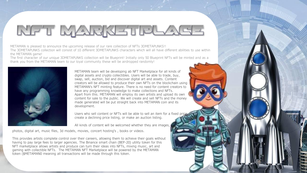## NFT MARKETFLAGE

METAMAN is pleased to announce the upcoming release of our rare collection of NFTs 3DMETAPUNKS!! The 3DMETAPUNKS collection will consist of 10 different 3DMETAPUNKS characters which will all have different abilities to use within the METAMAN game!

The first character of our unique 3DMETAPUNKS collection will be Blueprint! Initially only 50 Blueprint NFTs will be minted and as a thank you from the METAMAN team to our loyal community these will be airdropped randomly!



METAMAN team will be developing ab NFT Marketplace for all kinds of digital assets and crypto collectibles. Users will be able to trade, buy, swap, sell, auction, bid and discover digital art and assets. Content creators will be allowed to produce their own NFTs on the blockchain using METAMAN's NFT minting feature. There is no need for content creators to have any programming knowledge to make collections and NFTs. Apart from this. METAMAN will employ its own artists and upload its own content for sale to the public. We will create and sell NFTs and the money made generated will be put straight back into METAMAN coin and its development.

Users who sell content or NFTs will be able to sell an item for a fixed price, create a declining price listing, or make an auction listing.

THE WHITEPAPER

All kinds of content will be welcomed whether they are images,

photos, digital art, music files, 3d models, movies, concert hosting's , books or videos.

This provides artists complete control over their careers, allowing them to achieve their goals without having to pay large fees to larger agencies. The Binance smart chain (BEP-20) utility token for this NFT marketplace allows artists and produce can turn their ideas into NFTs, mixing music, art and gaming with collectible NFTs. The METAMAN NFT Marketplace will be powered by the METAMAN token (\$METAMAN0 meaning all transactions will be made through this token.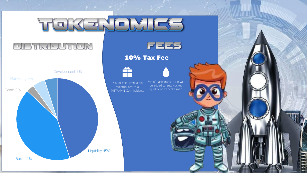## TOKENOMICE

### **PISTRIEUTION**



10% Tax Fee



4% of each transaction redistributed to all METAMAN Coin holders.

6% of each transaction will be added to auto-locked liquidity on Pancakeswap.

 $F = F$ 

10% Tax Fee Street Street Street



 $\sim$  15%  $\mu$  55%  $\mu$ 

**Alternative**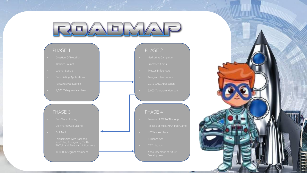## $M_{\odot}$  $\Box$

#### PHASE 1

- 
- 
- 
- 
- 
- 

#### PHASE 3

- 
- 
- 
- 
- 

#### PHASE 2

- 
- 
- 
- 
- 
- 

#### PHASE 4

- 
- 
- 
- 
- 
- 

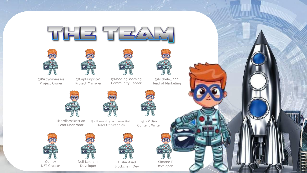



@Kirbydaviessss Project Owner



@Captainprice1 Project Manager



@MooningBooming Community Leader



**Mary Williams** 

@Michele\_777 Head of Marketing



@lordlarsskristian Lead Moderator





**M** 



Quincy NFT Creator



Neil Lakhami Developer



Neil Lakhami Alisha Asad Simone P<br>Developer Blockchain Dev Developer Alisha Asad Blockchain Dev



Simone P Developer